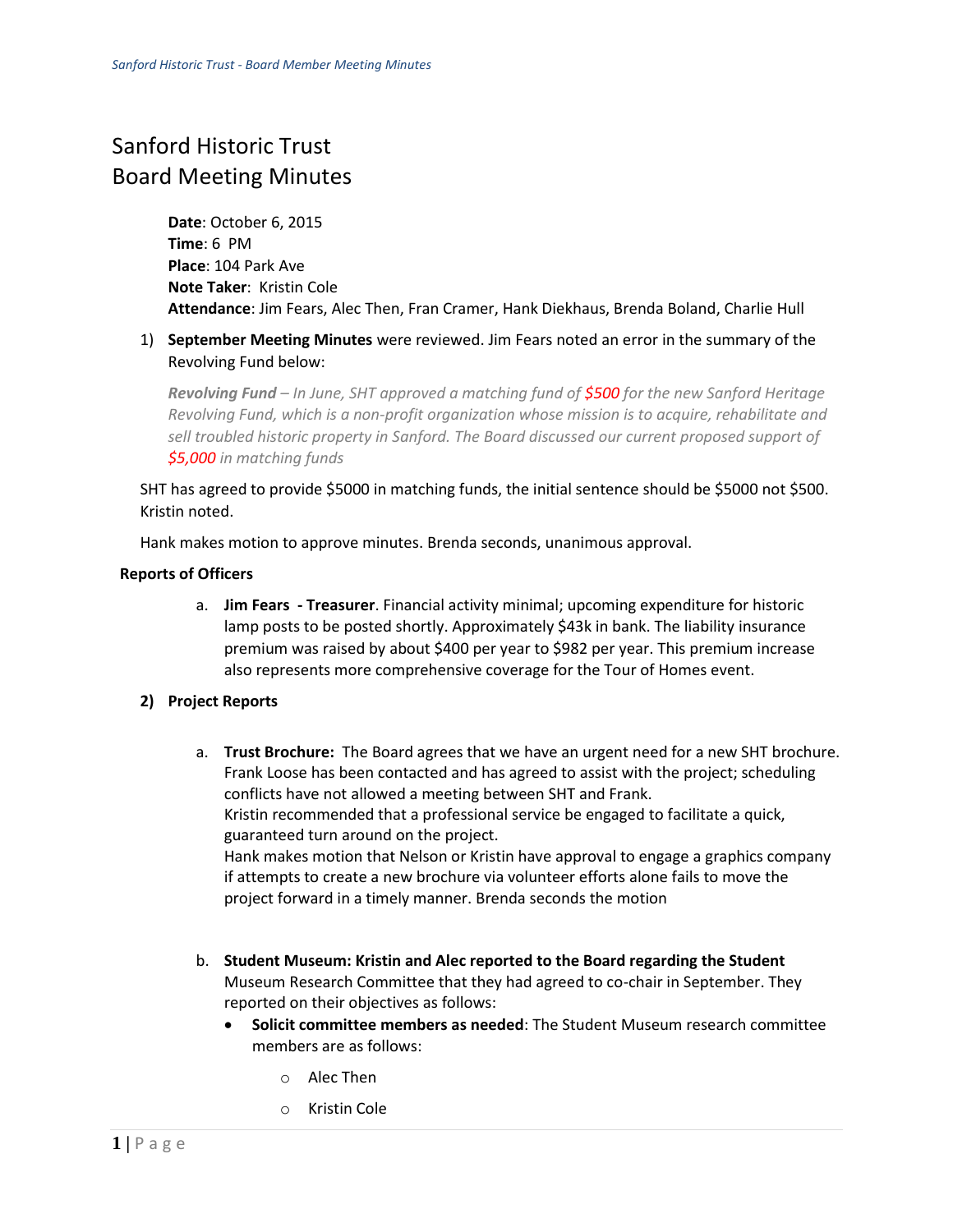## Sanford Historic Trust Board Meeting Minutes

**Date**: October 6, 2015 **Time**: 6 PM **Place**: 104 Park Ave **Note Taker**: Kristin Cole **Attendance**: Jim Fears, Alec Then, Fran Cramer, Hank Diekhaus, Brenda Boland, Charlie Hull

1) **September Meeting Minutes** were reviewed. Jim Fears noted an error in the summary of the Revolving Fund below:

*Revolving Fund – In June, SHT approved a matching fund of \$500 for the new Sanford Heritage Revolving Fund, which is a non-profit organization whose mission is to acquire, rehabilitate and sell troubled historic property in Sanford. The Board discussed our current proposed support of \$5,000 in matching funds* 

SHT has agreed to provide \$5000 in matching funds, the initial sentence should be \$5000 not \$500. Kristin noted.

Hank makes motion to approve minutes. Brenda seconds, unanimous approval.

## **Reports of Officers**

a. **Jim Fears - Treasurer**. Financial activity minimal; upcoming expenditure for historic lamp posts to be posted shortly. Approximately \$43k in bank. The liability insurance premium was raised by about \$400 per year to \$982 per year. This premium increase also represents more comprehensive coverage for the Tour of Homes event.

## **2) Project Reports**

- a. **Trust Brochure:** The Board agrees that we have an urgent need for a new SHT brochure. Frank Loose has been contacted and has agreed to assist with the project; scheduling conflicts have not allowed a meeting between SHT and Frank. Kristin recommended that a professional service be engaged to facilitate a quick, guaranteed turn around on the project. Hank makes motion that Nelson or Kristin have approval to engage a graphics company if attempts to create a new brochure via volunteer efforts alone fails to move the project forward in a timely manner. Brenda seconds the motion
- b. **Student Museum: Kristin and Alec reported to the Board regarding the Student** Museum Research Committee that they had agreed to co-chair in September. They reported on their objectives as follows:
	- **Solicit committee members as needed**: The Student Museum research committee members are as follows:
		- o Alec Then
		- o Kristin Cole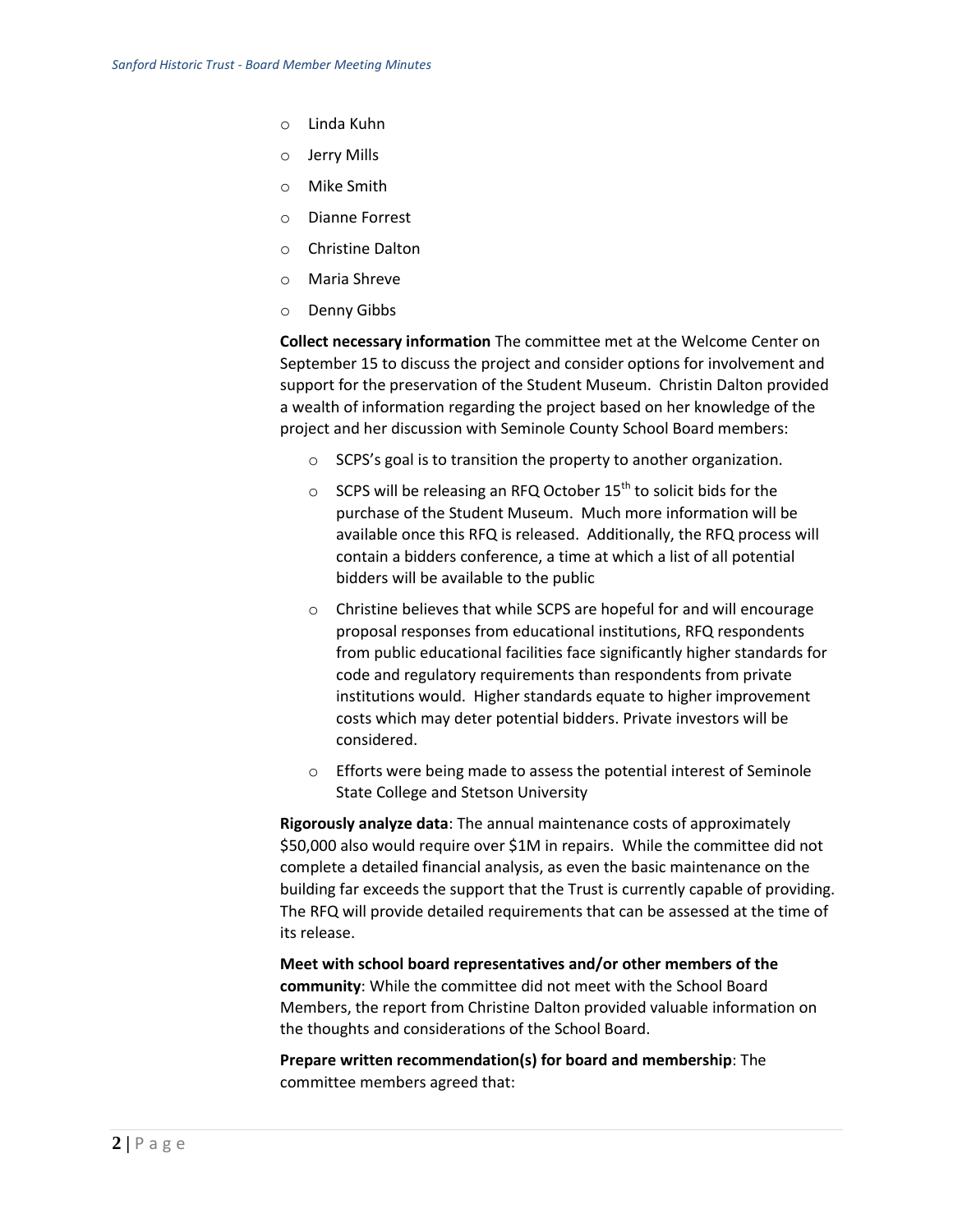- o Linda Kuhn
- o Jerry Mills
- o Mike Smith
- o Dianne Forrest
- o Christine Dalton
- o Maria Shreve
- o Denny Gibbs

**Collect necessary information** The committee met at the Welcome Center on September 15 to discuss the project and consider options for involvement and support for the preservation of the Student Museum. Christin Dalton provided a wealth of information regarding the project based on her knowledge of the project and her discussion with Seminole County School Board members:

- o SCPS's goal is to transition the property to another organization.
- $\circ$  SCPS will be releasing an RFQ October 15<sup>th</sup> to solicit bids for the purchase of the Student Museum. Much more information will be available once this RFQ is released. Additionally, the RFQ process will contain a bidders conference, a time at which a list of all potential bidders will be available to the public
- o Christine believes that while SCPS are hopeful for and will encourage proposal responses from educational institutions, RFQ respondents from public educational facilities face significantly higher standards for code and regulatory requirements than respondents from private institutions would. Higher standards equate to higher improvement costs which may deter potential bidders. Private investors will be considered.
- o Efforts were being made to assess the potential interest of Seminole State College and Stetson University

**Rigorously analyze data**: The annual maintenance costs of approximately \$50,000 also would require over \$1M in repairs. While the committee did not complete a detailed financial analysis, as even the basic maintenance on the building far exceeds the support that the Trust is currently capable of providing. The RFQ will provide detailed requirements that can be assessed at the time of its release.

**Meet with school board representatives and/or other members of the community**: While the committee did not meet with the School Board Members, the report from Christine Dalton provided valuable information on the thoughts and considerations of the School Board.

**Prepare written recommendation(s) for board and membership**: The committee members agreed that: